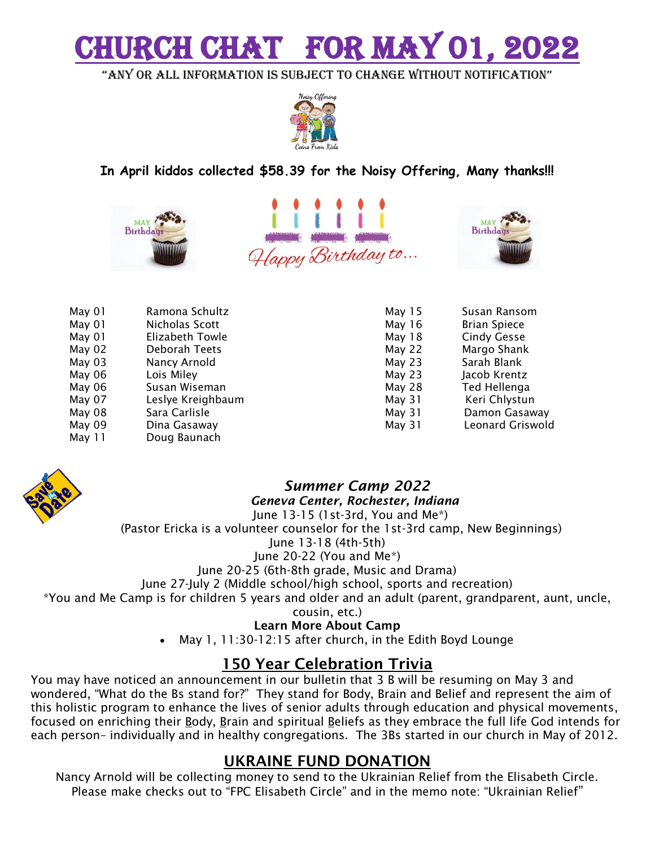# **H CHAT FOR MAY**

"any or all information is subject to change without notification"



**In April kiddos collected \$58.39 for the Noisy Offering, Many thanks!!!**







| May 01 | Ramona Schultz    |
|--------|-------------------|
| May 01 | Nicholas Scott    |
| May 01 | Elizabeth Towle   |
| May 02 | Deborah Teets     |
| May 03 | Nancy Arnold      |
| May 06 | Lois Miley        |
| May 06 | Susan Wiseman     |
| May 07 | Leslye Kreighbaum |
| May 08 | Sara Carlisle     |
| May 09 | Dina Gasaway      |
| May 11 | Doug Baunach      |
|        |                   |

| May 15 | Susan Ransom            |
|--------|-------------------------|
| May 16 | <b>Brian Spiece</b>     |
| May 18 | <b>Cindy Gesse</b>      |
| May 22 | Margo Shank             |
| May 23 | Sarah Blank             |
| May 23 | Jacob Krentz            |
| May 28 | Ted Hellenga            |
| May 31 | Keri Chlystun           |
| May 31 | Damon Gasaway           |
| May 31 | <b>Leonard Griswold</b> |



#### *Summer Camp 2022 Geneva Center, Rochester, Indiana* June 13-15 (1st-3rd, You and Me\*)

(Pastor Ericka is a volunteer counselor for the 1st-3rd camp, New Beginnings) June 13-18 (4th-5th)

June 20-22 (You and Me\*)

June 20-25 (6th-8th grade, Music and Drama)

June 27-July 2 (Middle school/high school, sports and recreation)

\*You and Me Camp is for children 5 years and older and an adult (parent, grandparent, aunt, uncle,

cousin, etc.)

**Learn More About Camp**

May 1, 11:30-12:15 after church, in the Edith Boyd Lounge

#### **150 Year Celebration Trivia**

You may have noticed an announcement in our bulletin that 3 B will be resuming on May 3 and wondered, "What do the Bs stand for?" They stand for Body, Brain and Belief and represent the aim of this holistic program to enhance the lives of senior adults through education and physical movements, focused on enriching their Body, Brain and spiritual Beliefs as they embrace the full life God intends for each person– individually and in healthy congregations. The 3Bs started in our church in May of 2012.

#### **UKRAINE FUND DONATION**

Nancy Arnold will be collecting money to send to the Ukrainian Relief from the Elisabeth Circle. Please make checks out to "FPC Elisabeth Circle" and in the memo note: "Ukrainian Relief"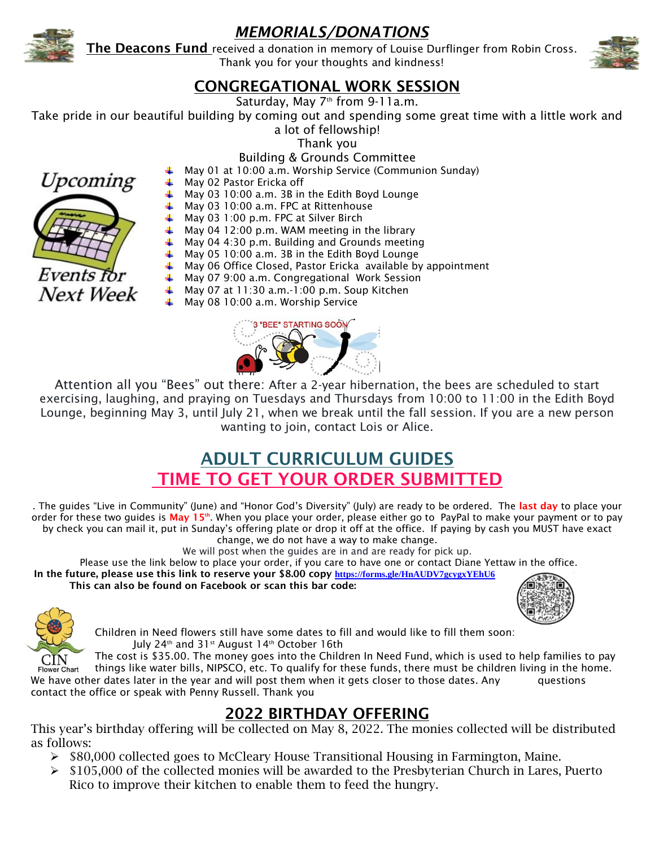

### *MEMORIALS/DONATIONS*

**The Deacons Fund** received a donation in memory of Louise Durflinger from Robin Cross. Thank you for your thoughts and kindness!



#### **CONGREGATIONAL WORK SESSION**

Saturday, May  $7<sup>th</sup>$  from 9-11a.m.

Take pride in our beautiful building by coming out and spending some great time with a little work and

a lot of fellowship! Thank you

Building & Grounds Committee



- May 02 Pastor Ericka off
	- May 03 10:00 a.m. 3B in the Edith Boyd Lounge
- May 03 10:00 a.m. FPC at Rittenhouse
	- $\uparrow$  May 03 1:00 p.m. FPC at Silver Birch
	- ₩. May 04 12:00 p.m. WAM meeting in the library
- ₩. May 04 4:30 p.m. Building and Grounds meeting
- $\textcolor{red}{\textbf{4}}$  May 05 10:00 a.m. 3B in the Edith Boyd Lounge
- $\ddot{*}$  May 06 Office Closed, Pastor Ericka available by appointment
- May 07 9:00 a.m. Congregational Work Session
- $\textcolor{red}{\downarrow}$  May 07 at 11:30 a.m.-1:00 p.m. Soup Kitchen
- May 08 10:00 a.m. Worship Service



Attention all you "Bees" out there: After a 2-year hibernation, the bees are scheduled to start exercising, laughing, and praying on Tuesdays and Thursdays from 10:00 to 11:00 in the Edith Boyd Lounge, beginning May 3, until July 21, when we break until the fall session. If you are a new person wanting to join, contact Lois or Alice.

## **ADULT CURRICULUM GUIDES TIME TO GET YOUR ORDER SUBMITTED**

. The guides "Live in Community" (June) and "Honor God's Diversity" (July) are ready to be ordered. The **last day** to place your order for these two guides is **May 15th**. When you place your order, please either go to PayPal to make your payment or to pay by check you can mail it, put in Sunday's offering plate or drop it off at the office. If paying by cash you MUST have exact change, we do not have a way to make change.

We will post when the guides are in and are ready for pick up.

Please use the link below to place your order, if you care to have one or contact Diane Yettaw in the office. **In the future, please use this link to reserve your \$8.00 copy <https://forms.gle/HnAUDV7gcygxYEhU6> This can also be found on Facebook or scan this bar code:**





Children in Need flowers still have some dates to fill and would like to fill them soon: July 24<sup>th</sup> and 31<sup>st</sup> August 14<sup>th</sup> October 16th

The cost is \$35.00. The money goes into the Children In Need Fund, which is used to help families to pay things like water bills, NIPSCO, etc. To qualify for these funds, there must be children living in the home. Flower Chart We have other dates later in the year and will post them when it gets closer to those dates. Any guestions contact the office or speak with Penny Russell. Thank you

#### **2022 BIRTHDAY OFFERING**

This year's birthday offering will be collected on May 8, 2022. The monies collected will be distributed as follows:

- $\triangleright$  \$80,000 collected goes to McCleary House Transitional Housing in Farmington, Maine.
- $\triangleright$  \$105,000 of the collected monies will be awarded to the Presbyterian Church in Lares, Puerto Rico to improve their kitchen to enable them to feed the hungry.

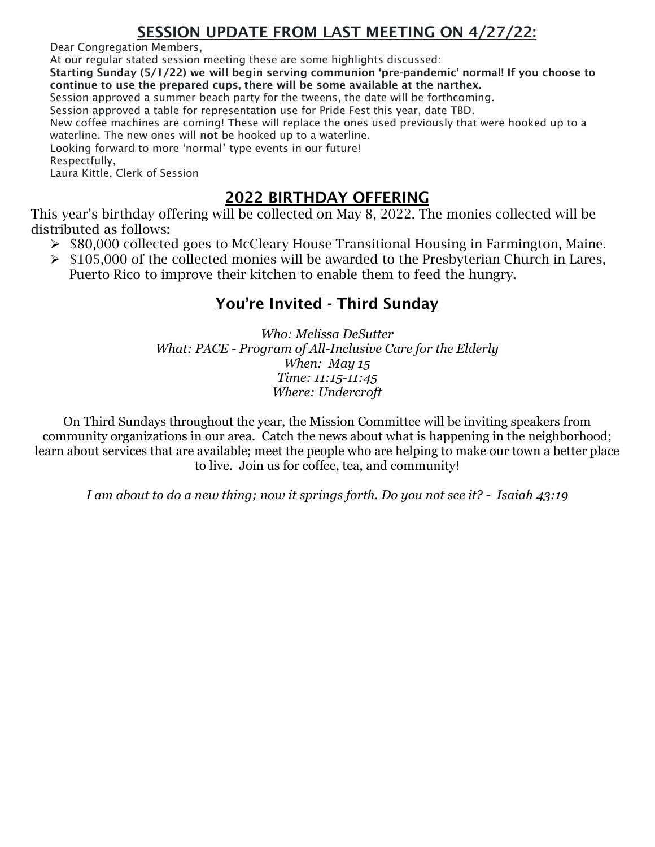#### **SESSION UPDATE FROM LAST MEETING ON 4/27/22:**

Dear Congregation Members,

At our regular stated session meeting these are some highlights discussed:

**Starting Sunday (5/1/22) we will begin serving communion 'pre-pandemic' normal! If you choose to continue to use the prepared cups, there will be some available at the narthex.**

Session approved a summer beach party for the tweens, the date will be forthcoming.

Session approved a table for representation use for Pride Fest this year, date TBD.

New coffee machines are coming! These will replace the ones used previously that were hooked up to a waterline. The new ones will **not** be hooked up to a waterline.

Looking forward to more 'normal' type events in our future!

Respectfully,

Laura Kittle, Clerk of Session

#### **2022 BIRTHDAY OFFERING**

This year's birthday offering will be collected on May 8, 2022. The monies collected will be distributed as follows:

- $\triangleright$  \$80,000 collected goes to McCleary House Transitional Housing in Farmington, Maine.
- $\triangleright$  \$105,000 of the collected monies will be awarded to the Presbyterian Church in Lares, Puerto Rico to improve their kitchen to enable them to feed the hungry.

#### **You're Invited - Third Sunday**

*Who: Melissa DeSutter What: PACE - Program of All-Inclusive Care for the Elderly When: May 15 Time: 11:15-11:45 Where: Undercroft*

On Third Sundays throughout the year, the Mission Committee will be inviting speakers from community organizations in our area. Catch the news about what is happening in the neighborhood; learn about services that are available; meet the people who are helping to make our town a better place to live. Join us for coffee, tea, and community!

*I am about to do a new thing; now it springs forth. Do you not see it? - Isaiah 43:19*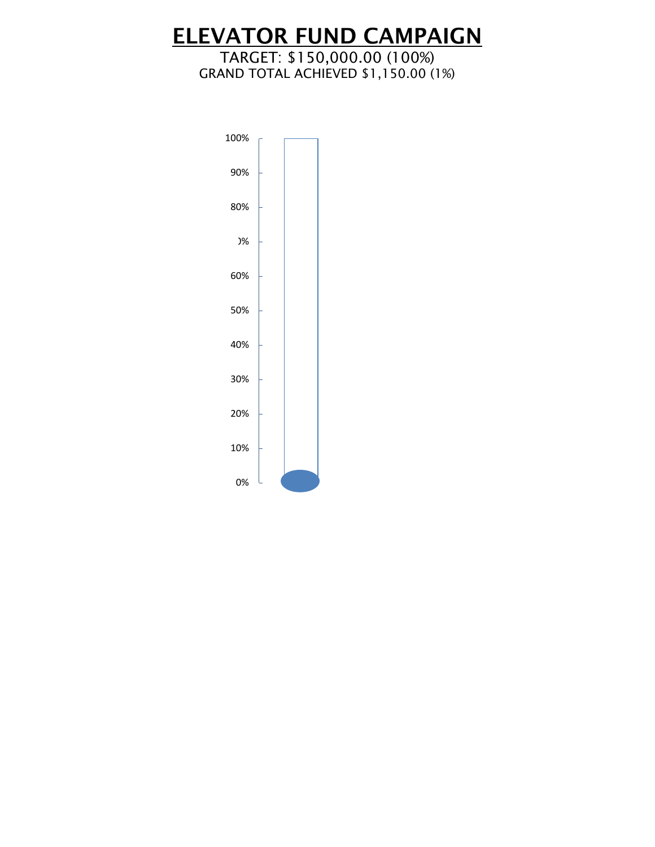# **ELEVATOR FUND CAMPAIGN**

#### TARGET: \$150,000.00 (100%) GRAND TOTAL ACHIEVED \$1,150.00 (1%)